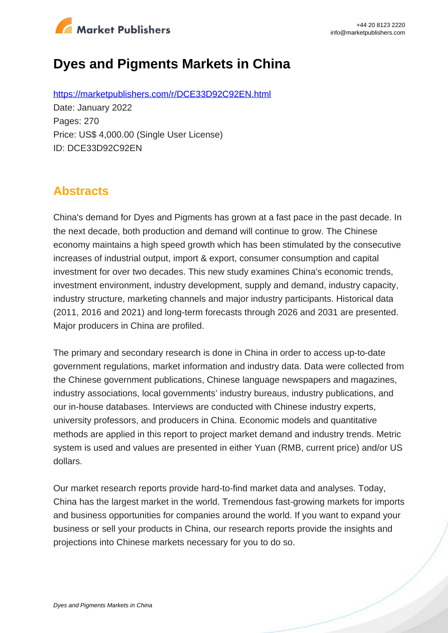

# **Dyes and Pigments Markets in China**

https://marketpublishers.com/r/DCE33D92C92EN.html Date: January 2022 Pages: 270 Price: US\$ 4,000.00 (Single User License) ID: DCE33D92C92EN

## **Abstracts**

China's demand for Dyes and Pigments has grown at a fast pace in the past decade. In the next decade, both production and demand will continue to grow. The Chinese economy maintains a high speed growth which has been stimulated by the consecutive increases of industrial output, import & export, consumer consumption and capital investment for over two decades. This new study examines China's economic trends, investment environment, industry development, supply and demand, industry capacity, industry structure, marketing channels and major industry participants. Historical data (2011, 2016 and 2021) and long-term forecasts through 2026 and 2031 are presented. Major producers in China are profiled.

The primary and secondary research is done in China in order to access up-to-date government regulations, market information and industry data. Data were collected from the Chinese government publications, Chinese language newspapers and magazines, industry associations, local governments' industry bureaus, industry publications, and our in-house databases. Interviews are conducted with Chinese industry experts, university professors, and producers in China. Economic models and quantitative methods are applied in this report to project market demand and industry trends. Metric system is used and values are presented in either Yuan (RMB, current price) and/or US dollars.

Our market research reports provide hard-to-find market data and analyses. Today, China has the largest market in the world. Tremendous fast-growing markets for imports and business opportunities for companies around the world. If you want to expand your business or sell your products in China, our research reports provide the insights and projections into Chinese markets necessary for you to do so.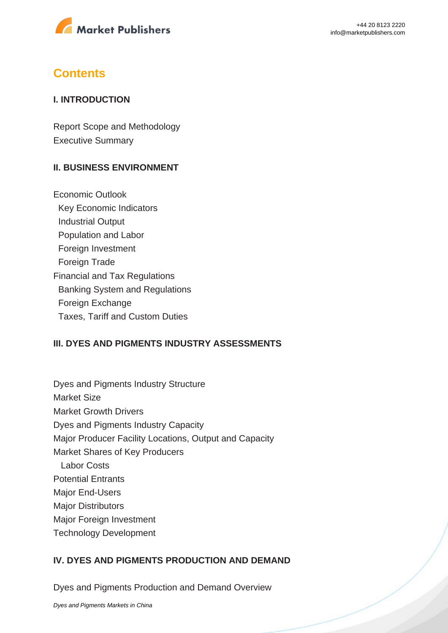

## **Contents**

#### **I. INTRODUCTION**

Report Scope and Methodology Executive Summary

### **II. BUSINESS ENVIRONMENT**

Economic Outlook Key Economic Indicators Industrial Output Population and Labor Foreign Investment Foreign Trade Financial and Tax Regulations Banking System and Regulations Foreign Exchange Taxes, Tariff and Custom Duties

### **III. DYES AND PIGMENTS INDUSTRY ASSESSMENTS**

Dyes and Pigments Industry Structure Market Size Market Growth Drivers Dyes and Pigments Industry Capacity Major Producer Facility Locations, Output and Capacity Market Shares of Key Producers Labor Costs Potential Entrants Major End-Users **Major Distributors** Major Foreign Investment Technology Development

### **IV. DYES AND PIGMENTS PRODUCTION AND DEMAND**

Dyes and Pigments Production and Demand Overview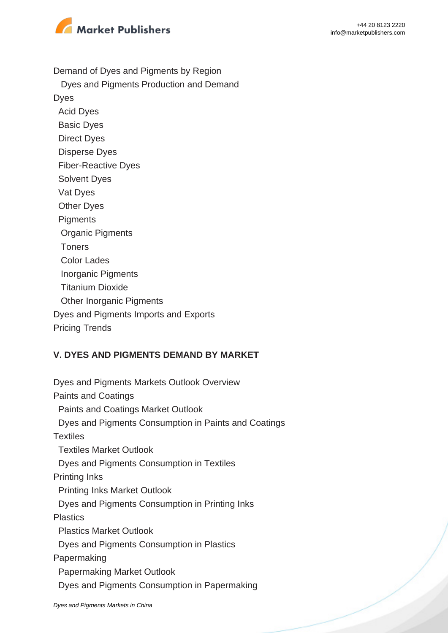



Demand of Dyes and Pigments by Region

 Dyes and Pigments Production and Demand Dyes Acid Dyes Basic Dyes Direct Dyes Disperse Dyes Fiber-Reactive Dyes Solvent Dyes Vat Dyes Other Dyes **Pigments**  Organic Pigments Toners Color Lades Inorganic Pigments Titanium Dioxide **Other Inorganic Pigments** Dyes and Pigments Imports and Exports Pricing Trends

#### **V. DYES AND PIGMENTS DEMAND BY MARKET**

Dyes and Pigments Markets Outlook Overview Paints and Coatings Paints and Coatings Market Outlook Dyes and Pigments Consumption in Paints and Coatings **Textiles**  Textiles Market Outlook Dyes and Pigments Consumption in Textiles Printing Inks Printing Inks Market Outlook Dyes and Pigments Consumption in Printing Inks **Plastics**  Plastics Market Outlook Dyes and Pigments Consumption in Plastics Papermaking Papermaking Market Outlook Dyes and Pigments Consumption in Papermaking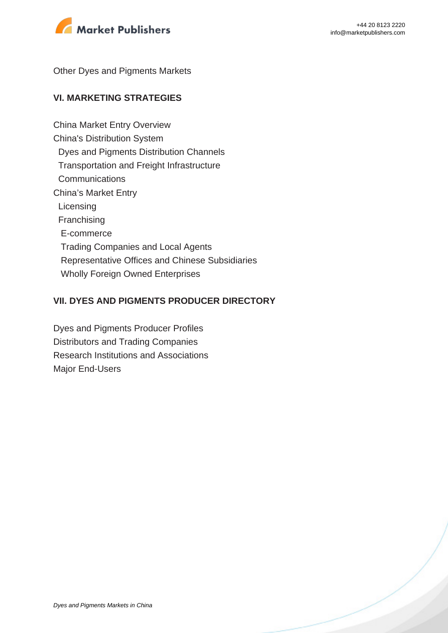

Other Dyes and Pigments Markets

## **VI. MARKETING STRATEGIES**

China Market Entry Overview China's Distribution System Dyes and Pigments Distribution Channels Transportation and Freight Infrastructure **Communications** China's Market Entry **Licensing**  Franchising E-commerce Trading Companies and Local Agents Representative Offices and Chinese Subsidiaries Wholly Foreign Owned Enterprises

### **VII. DYES AND PIGMENTS PRODUCER DIRECTORY**

Dyes and Pigments Producer Profiles Distributors and Trading Companies Research Institutions and Associations Major End-Users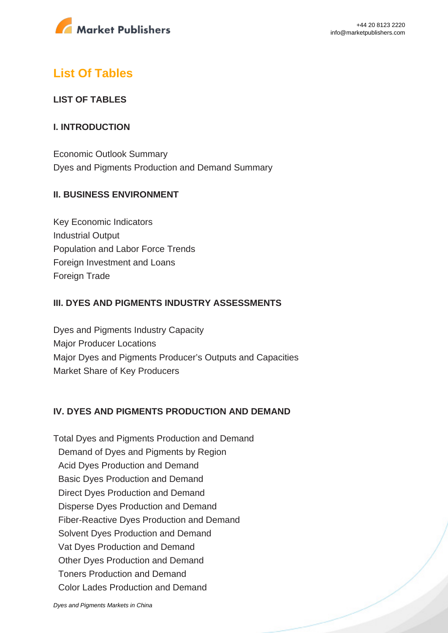

## **List Of Tables**

## **LIST OF TABLES**

### **I. INTRODUCTION**

Economic Outlook Summary Dyes and Pigments Production and Demand Summary

## **II. BUSINESS ENVIRONMENT**

Key Economic Indicators Industrial Output Population and Labor Force Trends Foreign Investment and Loans Foreign Trade

## **III. DYES AND PIGMENTS INDUSTRY ASSESSMENTS**

Dyes and Pigments Industry Capacity Major Producer Locations Major Dyes and Pigments Producer's Outputs and Capacities Market Share of Key Producers

### **IV. DYES AND PIGMENTS PRODUCTION AND DEMAND**

Total Dyes and Pigments Production and Demand Demand of Dyes and Pigments by Region Acid Dyes Production and Demand Basic Dyes Production and Demand Direct Dyes Production and Demand Disperse Dyes Production and Demand Fiber-Reactive Dyes Production and Demand Solvent Dyes Production and Demand Vat Dyes Production and Demand Other Dyes Production and Demand Toners Production and Demand Color Lades Production and Demand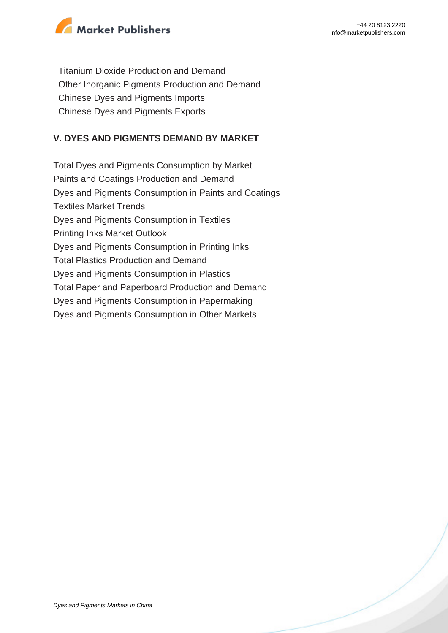

 Titanium Dioxide Production and Demand Other Inorganic Pigments Production and Demand Chinese Dyes and Pigments Imports Chinese Dyes and Pigments Exports

## **V. DYES AND PIGMENTS DEMAND BY MARKET**

Total Dyes and Pigments Consumption by Market Paints and Coatings Production and Demand Dyes and Pigments Consumption in Paints and Coatings Textiles Market Trends Dyes and Pigments Consumption in Textiles Printing Inks Market Outlook Dyes and Pigments Consumption in Printing Inks Total Plastics Production and Demand Dyes and Pigments Consumption in Plastics Total Paper and Paperboard Production and Demand Dyes and Pigments Consumption in Papermaking Dyes and Pigments Consumption in Other Markets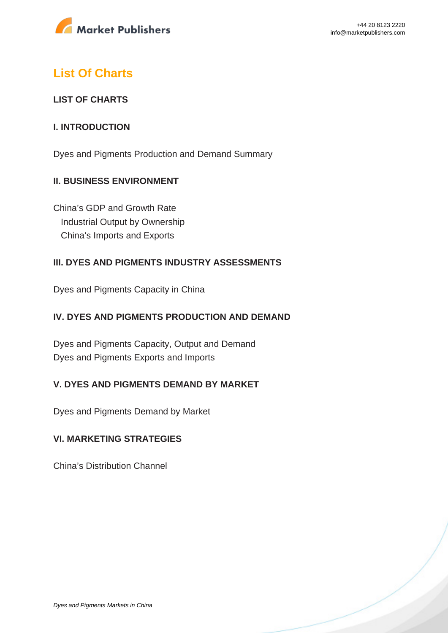

## **List Of Charts**

## **LIST OF CHARTS**

### **I. INTRODUCTION**

Dyes and Pigments Production and Demand Summary

## **II. BUSINESS ENVIRONMENT**

China's GDP and Growth Rate Industrial Output by Ownership China's Imports and Exports

### **III. DYES AND PIGMENTS INDUSTRY ASSESSMENTS**

Dyes and Pigments Capacity in China

## **IV. DYES AND PIGMENTS PRODUCTION AND DEMAND**

Dyes and Pigments Capacity, Output and Demand Dyes and Pigments Exports and Imports

### **V. DYES AND PIGMENTS DEMAND BY MARKET**

Dyes and Pigments Demand by Market

## **VI. MARKETING STRATEGIES**

China's Distribution Channel